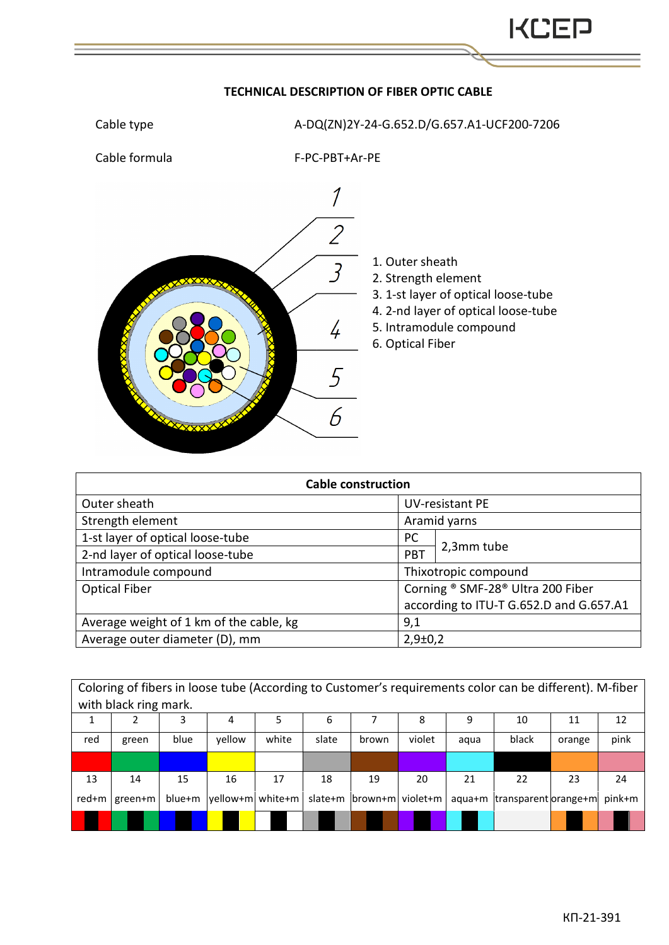## **TECHNICAL DESCRIPTION OF FIBER OPTIC CABLE**



| <b>Cable construction</b>               |                                   |                                         |  |  |  |  |  |
|-----------------------------------------|-----------------------------------|-----------------------------------------|--|--|--|--|--|
| Outer sheath                            | <b>UV-resistant PE</b>            |                                         |  |  |  |  |  |
| Strength element                        | Aramid yarns                      |                                         |  |  |  |  |  |
| 1-st layer of optical loose-tube        | PC                                |                                         |  |  |  |  |  |
| 2-nd layer of optical loose-tube        | PBT                               | 2,3mm tube                              |  |  |  |  |  |
| Intramodule compound                    | Thixotropic compound              |                                         |  |  |  |  |  |
| <b>Optical Fiber</b>                    | Corning ® SMF-28® Ultra 200 Fiber |                                         |  |  |  |  |  |
|                                         |                                   | according to ITU-T G.652.D and G.657.A1 |  |  |  |  |  |
| Average weight of 1 km of the cable, kg | 9,1                               |                                         |  |  |  |  |  |
| Average outer diameter (D), mm          | $2,9 \pm 0,2$                     |                                         |  |  |  |  |  |

| Coloring of fibers in loose tube (According to Customer's requirements color can be different). M-fiber |         |        |                   |       |         |                  |        |      |                             |        |        |
|---------------------------------------------------------------------------------------------------------|---------|--------|-------------------|-------|---------|------------------|--------|------|-----------------------------|--------|--------|
| with black ring mark.                                                                                   |         |        |                   |       |         |                  |        |      |                             |        |        |
|                                                                                                         |         | 3      | 4                 |       | 6       |                  | 8      | 9    | 10                          | 11     | 12     |
| red                                                                                                     | green   | blue   | vellow            | white | slate   | brown            | violet | aqua | black                       | orange | pink   |
|                                                                                                         |         |        |                   |       |         |                  |        |      |                             |        |        |
| 13                                                                                                      | 14      | 15     | 16                | 17    | 18      | 19               | 20     | 21   | 22                          | 23     | 24     |
| red+m                                                                                                   | green+m | blue+m | yellow+m  white+m |       | slate+m | brown+m violet+m |        |      | aqua+m transparent orange+m |        | pink+m |
|                                                                                                         |         |        |                   |       |         |                  |        |      |                             |        |        |